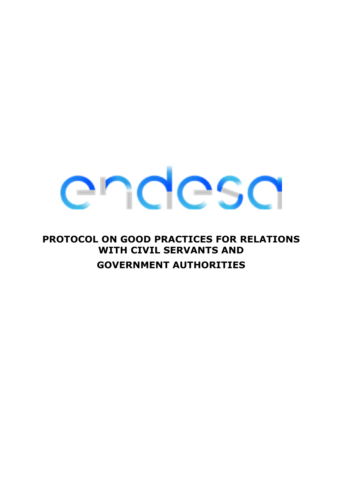### **PROTOCOL ON GOOD PRACTICES FOR RELATIONS WITH CIVIL SERVANTS AND GOVERNMENT AUTHORITIES**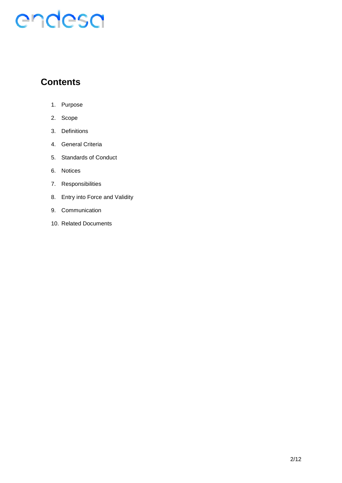### **Contents**

- 1. Purpose
- 2. Scope
- 3. Definitions
- 4. General Criteria
- 5. Standards of Conduct
- 6. Notices
- 7. Responsibilities
- 8. Entry into Force and Validity
- 9. Communication
- 10. Related Documents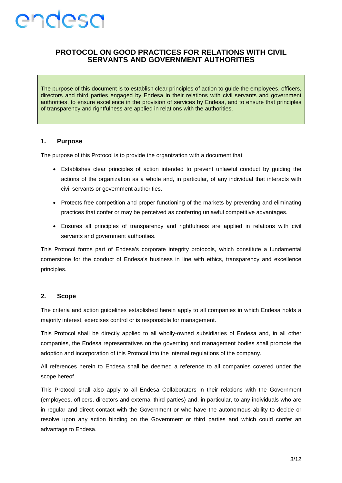

#### **PROTOCOL ON GOOD PRACTICES FOR RELATIONS WITH CIVIL SERVANTS AND GOVERNMENT AUTHORITIES**

The purpose of this document is to establish clear principles of action to guide the employees, officers, directors and third parties engaged by Endesa in their relations with civil servants and government authorities, to ensure excellence in the provision of services by Endesa, and to ensure that principles of transparency and rightfulness are applied in relations with the authorities.

#### **1. Purpose**

The purpose of this Protocol is to provide the organization with a document that:

- Establishes clear principles of action intended to prevent unlawful conduct by guiding the actions of the organization as a whole and, in particular, of any individual that interacts with civil servants or government authorities.
- Protects free competition and proper functioning of the markets by preventing and eliminating practices that confer or may be perceived as conferring unlawful competitive advantages.
- Ensures all principles of transparency and rightfulness are applied in relations with civil servants and government authorities.

This Protocol forms part of Endesa's corporate integrity protocols, which constitute a fundamental cornerstone for the conduct of Endesa's business in line with ethics, transparency and excellence principles.

#### **2. Scope**

The criteria and action guidelines established herein apply to all companies in which Endesa holds a majority interest, exercises control or is responsible for management.

This Protocol shall be directly applied to all wholly-owned subsidiaries of Endesa and, in all other companies, the Endesa representatives on the governing and management bodies shall promote the adoption and incorporation of this Protocol into the internal regulations of the company.

All references herein to Endesa shall be deemed a reference to all companies covered under the scope hereof.

This Protocol shall also apply to all Endesa Collaborators in their relations with the Government (employees, officers, directors and external third parties) and, in particular, to any individuals who are in regular and direct contact with the Government or who have the autonomous ability to decide or resolve upon any action binding on the Government or third parties and which could confer an advantage to Endesa.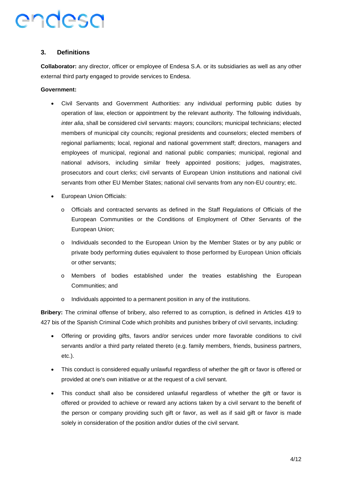#### **3. Definitions**

**Collaborator:** any director, officer or employee of Endesa S.A. or its subsidiaries as well as any other external third party engaged to provide services to Endesa.

#### **Government:**

- Civil Servants and Government Authorities: any individual performing public duties by operation of law, election or appointment by the relevant authority. The following individuals, *inter alia*, shall be considered civil servants: mayors; councilors; municipal technicians; elected members of municipal city councils; regional presidents and counselors; elected members of regional parliaments; local, regional and national government staff; directors, managers and employees of municipal, regional and national public companies; municipal, regional and national advisors, including similar freely appointed positions; judges, magistrates, prosecutors and court clerks; civil servants of European Union institutions and national civil servants from other EU Member States; national civil servants from any non-EU country; etc.
- European Union Officials:
	- o Officials and contracted servants as defined in the Staff Regulations of Officials of the European Communities or the Conditions of Employment of Other Servants of the European Union;
	- Individuals seconded to the European Union by the Member States or by any public or private body performing duties equivalent to those performed by European Union officials or other servants;
	- o Members of bodies established under the treaties establishing the European Communities; and
	- o Individuals appointed to a permanent position in any of the institutions.

**Bribery:** The criminal offense of bribery, also referred to as corruption, is defined in Articles 419 to 427 bis of the Spanish Criminal Code which prohibits and punishes bribery of civil servants, including:

- Offering or providing gifts, favors and/or services under more favorable conditions to civil servants and/or a third party related thereto (e.g. family members, friends, business partners, etc.).
- This conduct is considered equally unlawful regardless of whether the gift or favor is offered or provided at one's own initiative or at the request of a civil servant.
- This conduct shall also be considered unlawful regardless of whether the gift or favor is offered or provided to achieve or reward any actions taken by a civil servant to the benefit of the person or company providing such gift or favor, as well as if said gift or favor is made solely in consideration of the position and/or duties of the civil servant.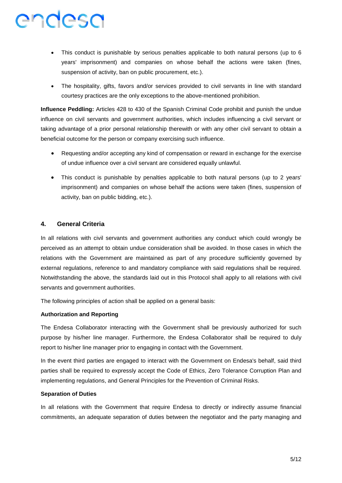- This conduct is punishable by serious penalties applicable to both natural persons (up to 6 years' imprisonment) and companies on whose behalf the actions were taken (fines, suspension of activity, ban on public procurement, etc.).
- The hospitality, gifts, favors and/or services provided to civil servants in line with standard courtesy practices are the only exceptions to the above-mentioned prohibition.

**Influence Peddling:** Articles 428 to 430 of the Spanish Criminal Code prohibit and punish the undue influence on civil servants and government authorities, which includes influencing a civil servant or taking advantage of a prior personal relationship therewith or with any other civil servant to obtain a beneficial outcome for the person or company exercising such influence.

- Requesting and/or accepting any kind of compensation or reward in exchange for the exercise of undue influence over a civil servant are considered equally unlawful.
- This conduct is punishable by penalties applicable to both natural persons (up to 2 years' imprisonment) and companies on whose behalf the actions were taken (fines, suspension of activity, ban on public bidding, etc.).

#### **4. General Criteria**

In all relations with civil servants and government authorities any conduct which could wrongly be perceived as an attempt to obtain undue consideration shall be avoided. In those cases in which the relations with the Government are maintained as part of any procedure sufficiently governed by external regulations, reference to and mandatory compliance with said regulations shall be required. Notwithstanding the above, the standards laid out in this Protocol shall apply to all relations with civil servants and government authorities.

The following principles of action shall be applied on a general basis:

#### **Authorization and Reporting**

The Endesa Collaborator interacting with the Government shall be previously authorized for such purpose by his/her line manager. Furthermore, the Endesa Collaborator shall be required to duly report to his/her line manager prior to engaging in contact with the Government.

In the event third parties are engaged to interact with the Government on Endesa's behalf, said third parties shall be required to expressly accept the Code of Ethics, Zero Tolerance Corruption Plan and implementing regulations, and General Principles for the Prevention of Criminal Risks.

#### **Separation of Duties**

In all relations with the Government that require Endesa to directly or indirectly assume financial commitments, an adequate separation of duties between the negotiator and the party managing and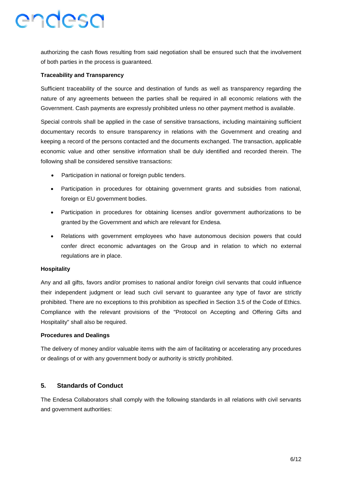authorizing the cash flows resulting from said negotiation shall be ensured such that the involvement of both parties in the process is guaranteed.

#### **Traceability and Transparency**

Sufficient traceability of the source and destination of funds as well as transparency regarding the nature of any agreements between the parties shall be required in all economic relations with the Government. Cash payments are expressly prohibited unless no other payment method is available.

Special controls shall be applied in the case of sensitive transactions, including maintaining sufficient documentary records to ensure transparency in relations with the Government and creating and keeping a record of the persons contacted and the documents exchanged. The transaction, applicable economic value and other sensitive information shall be duly identified and recorded therein. The following shall be considered sensitive transactions:

- Participation in national or foreign public tenders.
- Participation in procedures for obtaining government grants and subsidies from national, foreign or EU government bodies.
- Participation in procedures for obtaining licenses and/or government authorizations to be granted by the Government and which are relevant for Endesa.
- Relations with government employees who have autonomous decision powers that could confer direct economic advantages on the Group and in relation to which no external regulations are in place.

#### **Hospitality**

Any and all gifts, favors and/or promises to national and/or foreign civil servants that could influence their independent judgment or lead such civil servant to guarantee any type of favor are strictly prohibited. There are no exceptions to this prohibition as specified in Section 3.5 of the Code of Ethics. Compliance with the relevant provisions of the "Protocol on Accepting and Offering Gifts and Hospitality" shall also be required.

#### **Procedures and Dealings**

The delivery of money and/or valuable items with the aim of facilitating or accelerating any procedures or dealings of or with any government body or authority is strictly prohibited.

#### **5. Standards of Conduct**

The Endesa Collaborators shall comply with the following standards in all relations with civil servants and government authorities: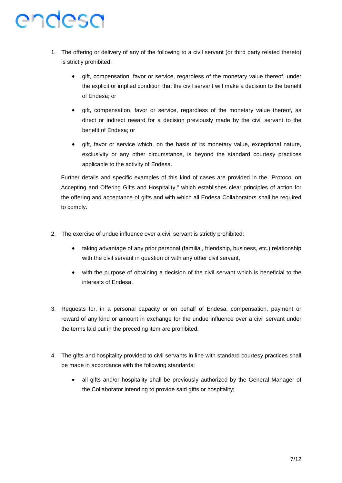- 1. The offering or delivery of any of the following to a civil servant (or third party related thereto) is strictly prohibited:
	- gift, compensation, favor or service, regardless of the monetary value thereof, under the explicit or implied condition that the civil servant will make a decision to the benefit of Endesa; or
	- gift, compensation, favor or service, regardless of the monetary value thereof, as direct or indirect reward for a decision previously made by the civil servant to the benefit of Endesa; or
	- gift, favor or service which, on the basis of its monetary value, exceptional nature, exclusivity or any other circumstance, is beyond the standard courtesy practices applicable to the activity of Endesa.

Further details and specific examples of this kind of cases are provided in the "Protocol on Accepting and Offering Gifts and Hospitality," which establishes clear principles of action for the offering and acceptance of gifts and with which all Endesa Collaborators shall be required to comply.

- 2. The exercise of undue influence over a civil servant is strictly prohibited:
	- taking advantage of any prior personal (familial, friendship, business, etc.) relationship with the civil servant in question or with any other civil servant,
	- with the purpose of obtaining a decision of the civil servant which is beneficial to the interests of Endesa.
- 3. Requests for, in a personal capacity or on behalf of Endesa, compensation, payment or reward of any kind or amount in exchange for the undue influence over a civil servant under the terms laid out in the preceding item are prohibited.
- 4. The gifts and hospitality provided to civil servants in line with standard courtesy practices shall be made in accordance with the following standards:
	- all gifts and/or hospitality shall be previously authorized by the General Manager of the Collaborator intending to provide said gifts or hospitality;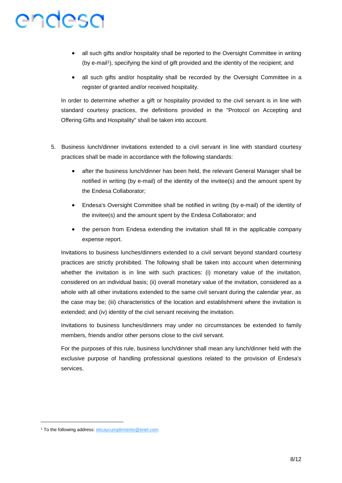- all such gifts and/or hospitality shall be reported to the Oversight Committee in writing (by e-mail<sup>1</sup>), specifying the kind of gift provided and the identity of the recipient; and
- all such gifts and/or hospitality shall be recorded by the Oversight Committee in a register of granted and/or received hospitality.

In order to determine whether a gift or hospitality provided to the civil servant is in line with standard courtesy practices, the definitions provided in the "Protocol on Accepting and Offering Gifts and Hospitality" shall be taken into account.

- 5. Business lunch/dinner invitations extended to a civil servant in line with standard courtesy practices shall be made in accordance with the following standards:
	- after the business lunch/dinner has been held, the relevant General Manager shall be notified in writing (by e-mail) of the identity of the invitee(s) and the amount spent by the Endesa Collaborator;
	- Endesa's Oversight Committee shall be notified in writing (by e-mail) of the identity of the invitee(s) and the amount spent by the Endesa Collaborator; and
	- the person from Endesa extending the invitation shall fill in the applicable company expense report.

Invitations to business lunches/dinners extended to a civil servant beyond standard courtesy practices are strictly prohibited. The following shall be taken into account when determining whether the invitation is in line with such practices: (i) monetary value of the invitation, considered on an individual basis; (ii) overall monetary value of the invitation, considered as a whole with all other invitations extended to the same civil servant during the calendar year, as the case may be; (iii) characteristics of the location and establishment where the invitation is extended; and (iv) identity of the civil servant receiving the invitation.

Invitations to business lunches/dinners may under no circumstances be extended to family members, friends and/or other persons close to the civil servant.

For the purposes of this rule, business lunch/dinner shall mean any lunch/dinner held with the exclusive purpose of handling professional questions related to the provision of Endesa's services.

<sup>&</sup>lt;sup>1</sup> To the following address: eticaycumplimiento@enel.com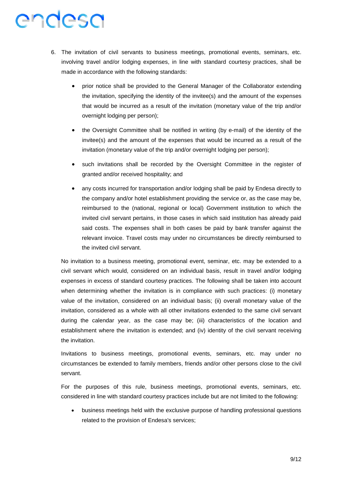- 6. The invitation of civil servants to business meetings, promotional events, seminars, etc. involving travel and/or lodging expenses, in line with standard courtesy practices, shall be made in accordance with the following standards:
	- prior notice shall be provided to the General Manager of the Collaborator extending the invitation, specifying the identity of the invitee(s) and the amount of the expenses that would be incurred as a result of the invitation (monetary value of the trip and/or overnight lodging per person);
	- the Oversight Committee shall be notified in writing (by e-mail) of the identity of the invitee(s) and the amount of the expenses that would be incurred as a result of the invitation (monetary value of the trip and/or overnight lodging per person);
	- such invitations shall be recorded by the Oversight Committee in the register of granted and/or received hospitality; and
	- any costs incurred for transportation and/or lodging shall be paid by Endesa directly to the company and/or hotel establishment providing the service or, as the case may be, reimbursed to the (national, regional or local) Government institution to which the invited civil servant pertains, in those cases in which said institution has already paid said costs. The expenses shall in both cases be paid by bank transfer against the relevant invoice. Travel costs may under no circumstances be directly reimbursed to the invited civil servant.

No invitation to a business meeting, promotional event, seminar, etc. may be extended to a civil servant which would, considered on an individual basis, result in travel and/or lodging expenses in excess of standard courtesy practices. The following shall be taken into account when determining whether the invitation is in compliance with such practices: (i) monetary value of the invitation, considered on an individual basis; (ii) overall monetary value of the invitation, considered as a whole with all other invitations extended to the same civil servant during the calendar year, as the case may be; (iii) characteristics of the location and establishment where the invitation is extended; and (iv) identity of the civil servant receiving the invitation.

Invitations to business meetings, promotional events, seminars, etc. may under no circumstances be extended to family members, friends and/or other persons close to the civil servant.

For the purposes of this rule, business meetings, promotional events, seminars, etc. considered in line with standard courtesy practices include but are not limited to the following:

 business meetings held with the exclusive purpose of handling professional questions related to the provision of Endesa's services;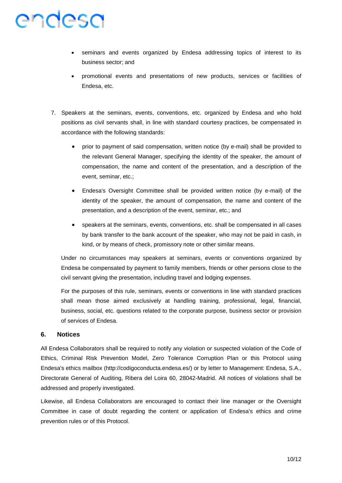- seminars and events organized by Endesa addressing topics of interest to its business sector; and
- promotional events and presentations of new products, services or facilities of Endesa, etc.
- 7. Speakers at the seminars, events, conventions, etc. organized by Endesa and who hold positions as civil servants shall, in line with standard courtesy practices, be compensated in accordance with the following standards:
	- prior to payment of said compensation, written notice (by e-mail) shall be provided to the relevant General Manager, specifying the identity of the speaker, the amount of compensation, the name and content of the presentation, and a description of the event, seminar, etc.;
	- Endesa's Oversight Committee shall be provided written notice (by e-mail) of the identity of the speaker, the amount of compensation, the name and content of the presentation, and a description of the event, seminar, etc.; and
	- speakers at the seminars, events, conventions, etc. shall be compensated in all cases by bank transfer to the bank account of the speaker, who may not be paid in cash, in kind, or by means of check, promissory note or other similar means.

Under no circumstances may speakers at seminars, events or conventions organized by Endesa be compensated by payment to family members, friends or other persons close to the civil servant giving the presentation, including travel and lodging expenses.

For the purposes of this rule, seminars, events or conventions in line with standard practices shall mean those aimed exclusively at handling training, professional, legal, financial, business, social, etc. questions related to the corporate purpose, business sector or provision of services of Endesa.

#### **6. Notices**

All Endesa Collaborators shall be required to notify any violation or suspected violation of the Code of Ethics, Criminal Risk Prevention Model, Zero Tolerance Corruption Plan or this Protocol using Endesa's ethics mailbox (http://codigoconducta.endesa.es/) or by letter to Management: Endesa, S.A., Directorate General of Auditing, Ribera del Loira 60, 28042-Madrid. All notices of violations shall be addressed and properly investigated.

Likewise, all Endesa Collaborators are encouraged to contact their line manager or the Oversight Committee in case of doubt regarding the content or application of Endesa's ethics and crime prevention rules or of this Protocol.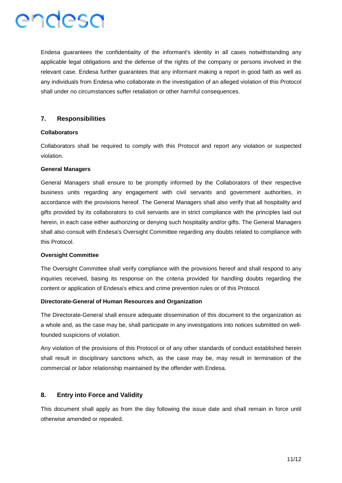

Endesa guarantees the confidentiality of the informant's identity in all cases notwithstanding any applicable legal obligations and the defense of the rights of the company or persons involved in the relevant case. Endesa further guarantees that any informant making a report in good faith as well as any individuals from Endesa who collaborate in the investigation of an alleged violation of this Protocol shall under no circumstances suffer retaliation or other harmful consequences.

#### **7. Responsibilities**

#### **Collaborators**

Collaborators shall be required to comply with this Protocol and report any violation or suspected violation.

#### **General Managers**

General Managers shall ensure to be promptly informed by the Collaborators of their respective business units regarding any engagement with civil servants and government authorities, in accordance with the provisions hereof. The General Managers shall also verify that all hospitality and gifts provided by its collaborators to civil servants are in strict compliance with the principles laid out herein, in each case either authorizing or denying such hospitality and/or gifts. The General Managers shall also consult with Endesa's Oversight Committee regarding any doubts related to compliance with this Protocol.

#### **Oversight Committee**

The Oversight Committee shall verify compliance with the provisions hereof and shall respond to any inquiries received, basing its response on the criteria provided for handling doubts regarding the content or application of Endesa's ethics and crime prevention rules or of this Protocol.

#### **Directorate-General of Human Resources and Organization**

The Directorate-General shall ensure adequate dissemination of this document to the organization as a whole and, as the case may be, shall participate in any investigations into notices submitted on wellfounded suspicions of violation.

Any violation of the provisions of this Protocol or of any other standards of conduct established herein shall result in disciplinary sanctions which, as the case may be, may result in termination of the commercial or labor relationship maintained by the offender with Endesa.

#### **8. Entry into Force and Validity**

This document shall apply as from the day following the issue date and shall remain in force until otherwise amended or repealed.